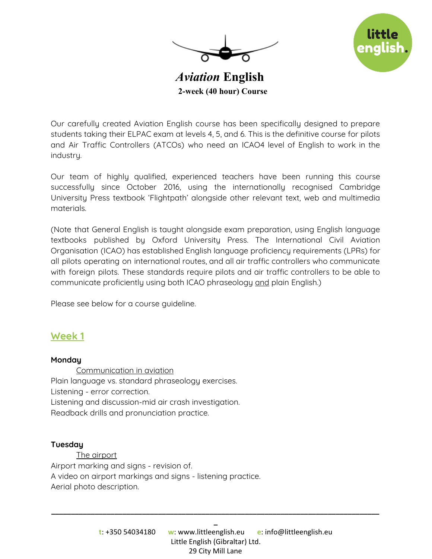



 *Aviation*  **English 2-week (40 hour) Course**

Our carefully created Aviation English course has been specifically designed to prepare students taking their ELPAC exam at levels 4, 5, and 6. This is the definitive course for pilots and Air Traffic Controllers (ATCOs) who need an ICAO4 level of English to work in the industry.

Our team of highly qualified, experienced teachers have been running this course successfully since October 2016, using the internationally recognised Cambridge University Press textbook 'Flightpath' alongside other relevant text, web and multimedia materials.

(Note that General English is taught alongside exam preparation, using English language textbooks published by Oxford University Press. The International Civil Aviation Organisation (ICAO) has established English language proficiency requirements (LPRs) for all pilots operating on international routes, and all air traffic controllers who communicate with foreign pilots. These standards require pilots and air traffic controllers to be able to communicate proficiently using both ICAO phraseology and plain English.)

Please see below for a course guideline.

## **Week 1**

### **Monday**

Communication in aviation Plain language vs. standard phraseology exercises. Listening - error correction. Listening and discussion-mid air crash investigation. Readback drills and pronunciation practice.

#### **Tuesday**

The airport Airport marking and signs - revision of. A video on airport markings and signs - listening practice. Aerial photo description.

**\_\_\_\_\_\_\_\_\_\_\_\_\_\_\_\_\_\_\_\_\_\_\_\_\_\_\_\_\_\_\_\_\_\_\_\_\_\_\_\_\_\_\_\_\_\_\_\_\_\_\_\_\_\_\_\_\_\_\_\_\_\_\_\_\_\_\_\_\_\_\_\_\_\_\_\_\_\_\_\_\_\_\_ \_**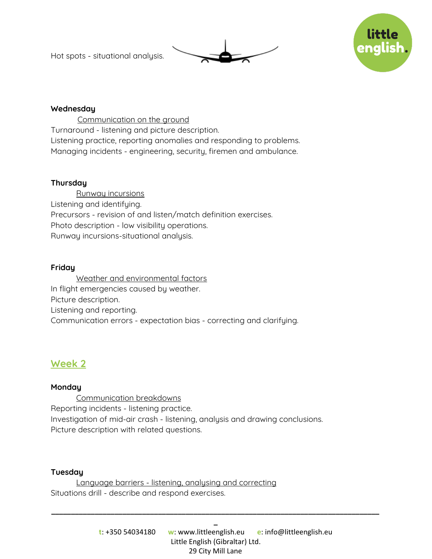Hot spots - situational analysis.





### **Wednesday**

Communication on the ground Turnaround - listening and picture description. Listening practice, reporting anomalies and responding to problems. Managing incidents - engineering, security, firemen and ambulance.

### **Thursday**

Runway incursions Listening and identifying. Precursors - revision of and listen/match definition exercises. Photo description - low visibility operations. Runway incursions-situational analysis.

### **Friday**

Weather and environmental factors In flight emergencies caused by weather. Picture description. Listening and reporting. Communication errors - expectation bias - correcting and clarifying.

# **Week 2**

### **Monday**

Communication breakdowns Reporting incidents - listening practice. Investigation of mid-air crash - listening, analysis and drawing conclusions. Picture description with related questions.

### **Tuesday**

Language barriers - listening, analysing and correcting Situations drill - describe and respond exercises.

**\_\_\_\_\_\_\_\_\_\_\_\_\_\_\_\_\_\_\_\_\_\_\_\_\_\_\_\_\_\_\_\_\_\_\_\_\_\_\_\_\_\_\_\_\_\_\_\_\_\_\_\_\_\_\_\_\_\_\_\_\_\_\_\_\_\_\_\_\_\_\_\_\_\_\_\_\_\_\_\_\_\_\_ \_**